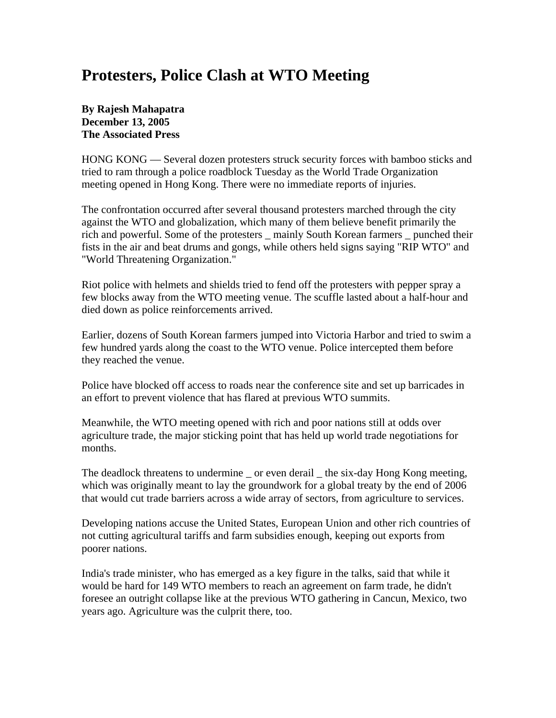## **Protesters, Police Clash at WTO Meeting**

## **By Rajesh Mahapatra December 13, 2005 The Associated Press**

HONG KONG — Several dozen protesters struck security forces with bamboo sticks and tried to ram through a police roadblock Tuesday as the World Trade Organization meeting opened in Hong Kong. There were no immediate reports of injuries.

The confrontation occurred after several thousand protesters marched through the city against the WTO and globalization, which many of them believe benefit primarily the rich and powerful. Some of the protesters \_ mainly South Korean farmers \_ punched their fists in the air and beat drums and gongs, while others held signs saying "RIP WTO" and "World Threatening Organization."

Riot police with helmets and shields tried to fend off the protesters with pepper spray a few blocks away from the WTO meeting venue. The scuffle lasted about a half-hour and died down as police reinforcements arrived.

Earlier, dozens of South Korean farmers jumped into Victoria Harbor and tried to swim a few hundred yards along the coast to the WTO venue. Police intercepted them before they reached the venue.

Police have blocked off access to roads near the conference site and set up barricades in an effort to prevent violence that has flared at previous WTO summits.

Meanwhile, the WTO meeting opened with rich and poor nations still at odds over agriculture trade, the major sticking point that has held up world trade negotiations for months.

The deadlock threatens to undermine \_ or even derail \_ the six-day Hong Kong meeting, which was originally meant to lay the groundwork for a global treaty by the end of 2006 that would cut trade barriers across a wide array of sectors, from agriculture to services.

Developing nations accuse the United States, European Union and other rich countries of not cutting agricultural tariffs and farm subsidies enough, keeping out exports from poorer nations.

India's trade minister, who has emerged as a key figure in the talks, said that while it would be hard for 149 WTO members to reach an agreement on farm trade, he didn't foresee an outright collapse like at the previous WTO gathering in Cancun, Mexico, two years ago. Agriculture was the culprit there, too.